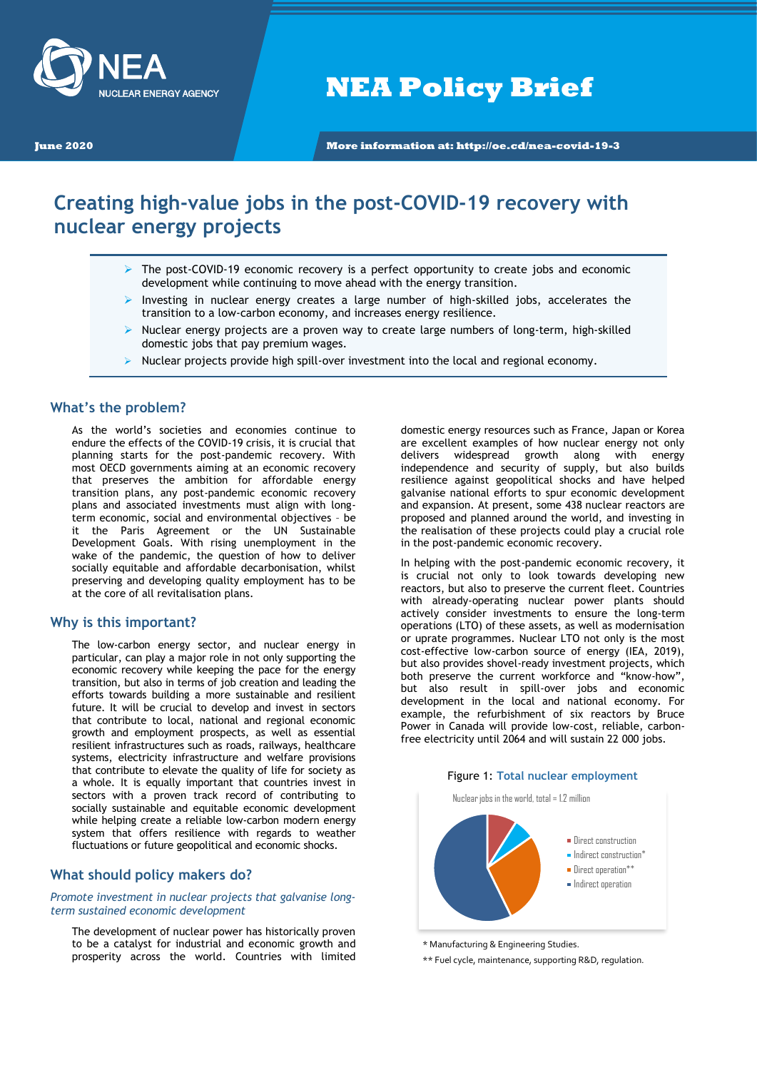

**NEA Policy Brief**

**June 2020 More information at: http://oe.cd/nea-covid-19-3**

# **Creating high-value jobs in the post-COVID-19 recovery with nuclear energy projects**

- The post-COVID-19 economic recovery is a perfect opportunity to create jobs and economic development while continuing to move ahead with the energy transition.
- Investing in nuclear energy creates a large number of high-skilled jobs, accelerates the transition to a low-carbon economy, and increases energy resilience.
- $\triangleright$  Nuclear energy projects are a proven way to create large numbers of long-term, high-skilled domestic jobs that pay premium wages.
- $\triangleright$  Nuclear projects provide high spill-over investment into the local and regional economy.

### **What's the problem?**

As the world's societies and economies continue to endure the effects of the COVID-19 crisis, it is crucial that planning starts for the post-pandemic recovery. With most OECD governments aiming at an economic recovery that preserves the ambition for affordable energy transition plans, any post-pandemic economic recovery plans and associated investments must align with longterm economic, social and environmental objectives – be it the Paris Agreement or the UN Sustainable Development Goals. With rising unemployment in the wake of the pandemic, the question of how to deliver socially equitable and affordable decarbonisation, whilst preserving and developing quality employment has to be at the core of all revitalisation plans.

#### **Why is this important?**

The low-carbon energy sector, and nuclear energy in particular, can play a major role in not only supporting the economic recovery while keeping the pace for the energy transition, but also in terms of job creation and leading the efforts towards building a more sustainable and resilient future. It will be crucial to develop and invest in sectors that contribute to local, national and regional economic growth and employment prospects, as well as essential resilient infrastructures such as roads, railways, healthcare systems, electricity infrastructure and welfare provisions that contribute to elevate the quality of life for society as a whole. It is equally important that countries invest in sectors with a proven track record of contributing to socially sustainable and equitable economic development while helping create a reliable low-carbon modern energy system that offers resilience with regards to weather fluctuations or future geopolitical and economic shocks.

## **What should policy makers do?**

*Promote investment in nuclear projects that galvanise longterm sustained economic development*

The development of nuclear power has historically proven to be a catalyst for industrial and economic growth and prosperity across the world. Countries with limited domestic energy resources such as France, Japan or Korea are excellent examples of how nuclear energy not only delivers widespread growth along with energy independence and security of supply, but also builds resilience against geopolitical shocks and have helped galvanise national efforts to spur economic development and expansion. At present, some 438 nuclear reactors are proposed and planned around the world, and investing in the realisation of these projects could play a crucial role in the post-pandemic economic recovery.

In helping with the post-pandemic economic recovery, it is crucial not only to look towards developing new reactors, but also to preserve the current fleet. Countries with already-operating nuclear power plants should actively consider investments to ensure the long-term operations (LTO) of these assets, as well as modernisation or uprate programmes. Nuclear LTO not only is the most cost-effective low-carbon source of energy (IEA, 2019), but also provides shovel-ready investment projects, which both preserve the current workforce and "know-how", but also result in spill-over jobs and economic development in the local and national economy. For example, the refurbishment of six reactors by Bruce Power in Canada will provide low-cost, reliable, carbonfree electricity until 2064 and will sustain 22 000 jobs.

#### Figure 1: **Total nuclear employment**

Nuclear jobs in the world, total = 1.2 million



<sup>\*</sup> Manufacturing & Engineering Studies.

\*\* Fuel cycle, maintenance, supporting R&D, regulation.